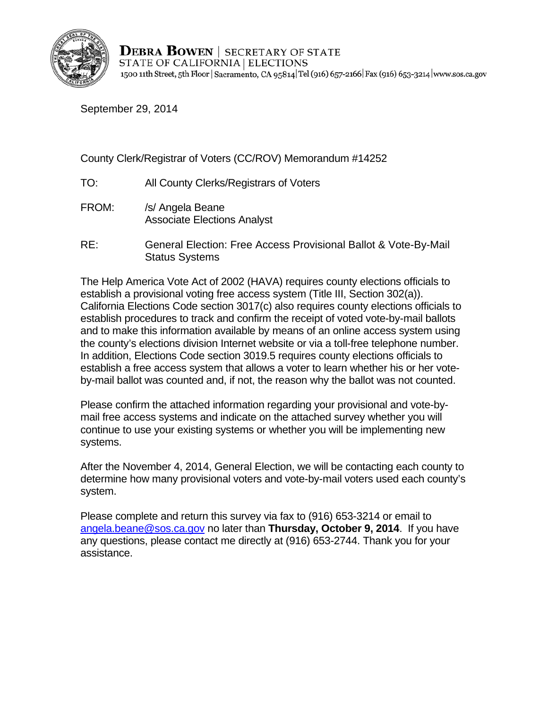

**DEBRA BOWEN** SECRETARY OF STATE STATE OF CALIFORNIA | ELECTIONS 1500 11th Street, 5th Floor | Sacramento, CA 95814 Tel (916) 657-2166 | Fax (916) 653-3214 | www.sos.ca.gov

September 29, 2014

County Clerk/Registrar of Voters (CC/ROV) Memorandum #14252

- TO: All County Clerks/Registrars of Voters
- FROM: /s/ Angela Beane Associate Elections Analyst
- RE: General Election: Free Access Provisional Ballot & Vote-By-Mail Status Systems

The Help America Vote Act of 2002 (HAVA) requires county elections officials to establish a provisional voting free access system (Title III, Section 302(a)). California Elections Code section 3017(c) also requires county elections officials to establish procedures to track and confirm the receipt of voted vote-by-mail ballots and to make this information available by means of an online access system using the county's elections division Internet website or via a toll-free telephone number. In addition, Elections Code section 3019.5 requires county elections officials to establish a free access system that allows a voter to learn whether his or her voteby-mail ballot was counted and, if not, the reason why the ballot was not counted.

Please confirm the attached information regarding your provisional and vote-bymail free access systems and indicate on the attached survey whether you will continue to use your existing systems or whether you will be implementing new systems.

After the November 4, 2014, General Election, we will be contacting each county to determine how many provisional voters and vote-by-mail voters used each county's system.

Please complete and return this survey via fax to (916) 653-3214 or email to angela.beane@sos.ca.gov no later than **Thursday, October 9, 2014**. If you have any questions, please contact me directly at (916) 653-2744. Thank you for your assistance.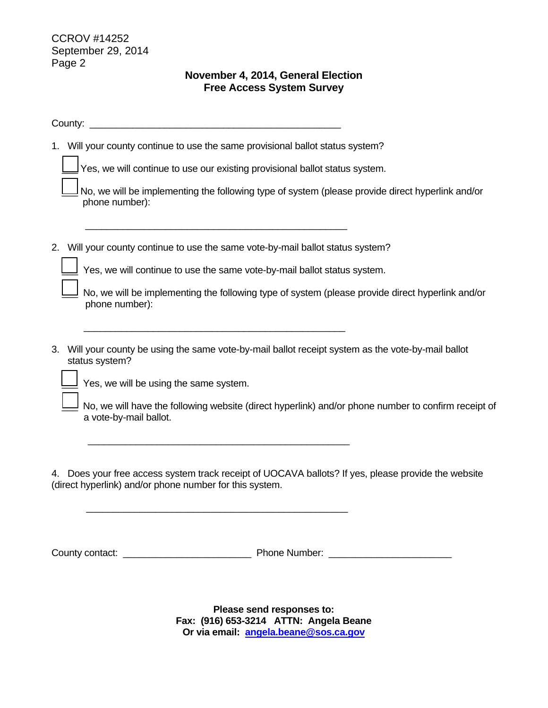$\overline{\phantom{a}}$ 

 $\overline{\phantom{a}}$ 

## **November 4, 2014, General Election Free Access System Survey**

County: \_\_\_\_\_\_\_\_\_\_\_\_\_\_\_\_\_\_\_\_\_\_\_\_\_\_\_\_\_\_\_\_\_\_\_\_\_\_\_\_\_\_\_\_\_\_\_

1. Will your county continue to use the same provisional ballot status system?

 $\Box$  Yes, we will continue to use our existing provisional ballot status system.

| No, we will be implementing the following type of system (please provide direct hyperlink and/or |
|--------------------------------------------------------------------------------------------------|
| phone number):                                                                                   |

2. Will your county continue to use the same vote-by-mail ballot status system?

 $\frac{1}{\sqrt{2}}$  ,  $\frac{1}{\sqrt{2}}$  ,  $\frac{1}{\sqrt{2}}$  ,  $\frac{1}{\sqrt{2}}$  ,  $\frac{1}{\sqrt{2}}$  ,  $\frac{1}{\sqrt{2}}$  ,  $\frac{1}{\sqrt{2}}$  ,  $\frac{1}{\sqrt{2}}$  ,  $\frac{1}{\sqrt{2}}$  ,  $\frac{1}{\sqrt{2}}$  ,  $\frac{1}{\sqrt{2}}$  ,  $\frac{1}{\sqrt{2}}$  ,  $\frac{1}{\sqrt{2}}$  ,  $\frac{1}{\sqrt{2}}$  ,  $\frac{1}{\sqrt{2}}$ 

 $\frac{1}{\sqrt{2}}$  ,  $\frac{1}{\sqrt{2}}$  ,  $\frac{1}{\sqrt{2}}$  ,  $\frac{1}{\sqrt{2}}$  ,  $\frac{1}{\sqrt{2}}$  ,  $\frac{1}{\sqrt{2}}$  ,  $\frac{1}{\sqrt{2}}$  ,  $\frac{1}{\sqrt{2}}$  ,  $\frac{1}{\sqrt{2}}$  ,  $\frac{1}{\sqrt{2}}$  ,  $\frac{1}{\sqrt{2}}$  ,  $\frac{1}{\sqrt{2}}$  ,  $\frac{1}{\sqrt{2}}$  ,  $\frac{1}{\sqrt{2}}$  ,  $\frac{1}{\sqrt{2}}$ 

 $\frac{1}{\sqrt{2}}$  ,  $\frac{1}{\sqrt{2}}$  ,  $\frac{1}{\sqrt{2}}$  ,  $\frac{1}{\sqrt{2}}$  ,  $\frac{1}{\sqrt{2}}$  ,  $\frac{1}{\sqrt{2}}$  ,  $\frac{1}{\sqrt{2}}$  ,  $\frac{1}{\sqrt{2}}$  ,  $\frac{1}{\sqrt{2}}$  ,  $\frac{1}{\sqrt{2}}$  ,  $\frac{1}{\sqrt{2}}$  ,  $\frac{1}{\sqrt{2}}$  ,  $\frac{1}{\sqrt{2}}$  ,  $\frac{1}{\sqrt{2}}$  ,  $\frac{1}{\sqrt{2}}$ 

 $\overline{\phantom{a}}$  ,  $\overline{\phantom{a}}$  ,  $\overline{\phantom{a}}$  ,  $\overline{\phantom{a}}$  ,  $\overline{\phantom{a}}$  ,  $\overline{\phantom{a}}$  ,  $\overline{\phantom{a}}$  ,  $\overline{\phantom{a}}$  ,  $\overline{\phantom{a}}$  ,  $\overline{\phantom{a}}$  ,  $\overline{\phantom{a}}$  ,  $\overline{\phantom{a}}$  ,  $\overline{\phantom{a}}$  ,  $\overline{\phantom{a}}$  ,  $\overline{\phantom{a}}$  ,  $\overline{\phantom{a}}$ 

Yes, we will continue to use the same vote-by-mail ballot status system.

| No, we will be implementing the following type of system (please provide direct hyperlink and/or |
|--------------------------------------------------------------------------------------------------|
| phone number):                                                                                   |

3. Will your county be using the same vote-by-mail ballot receipt system as the vote-by-mail ballot status system?

 $\frac{1}{2}$  Yes, we will be using the same system.

No, we will have the following website (direct hyperlink) and/or phone number to confirm receipt of a vote-by-mail ballot.

4. Does your free access system track receipt of UOCAVA ballots? If yes, please provide the website (direct hyperlink) and/or phone number for this system.

County contact: \_\_\_\_\_\_\_\_\_\_\_\_\_\_\_\_\_\_\_\_\_\_\_\_ Phone Number: \_\_\_\_\_\_\_\_\_\_\_\_\_\_\_\_\_\_\_\_\_\_\_

Fax: (916) 653-3214 ATTN: Angela Beane<br>Or via email: <u>angela.beane@sos.ca.gov</u> **Please send responses to:**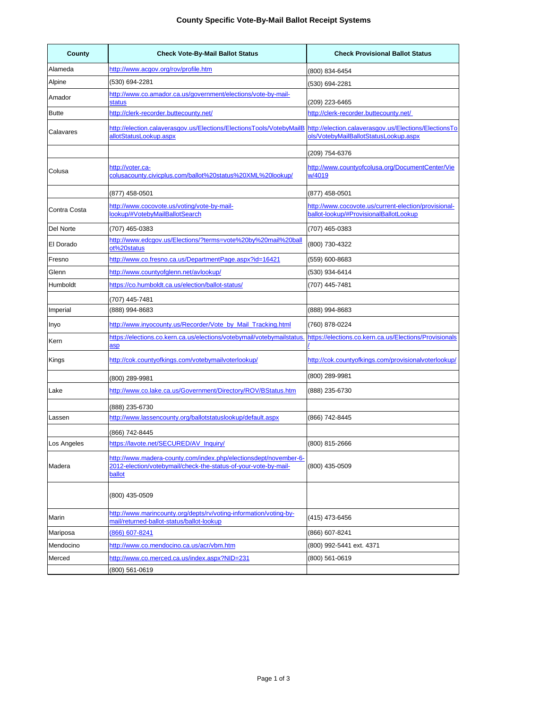## **County Specific Vote-By-Mail Ballot Receipt Systems**

| County       | <b>Check Vote-By-Mail Ballot Status</b>                                                                                                       | <b>Check Provisional Ballot Status</b>                                                         |
|--------------|-----------------------------------------------------------------------------------------------------------------------------------------------|------------------------------------------------------------------------------------------------|
| Alameda      | http://www.acgov.org/rov/profile.htm                                                                                                          | (800) 834-6454                                                                                 |
| Alpine       | (530) 694-2281                                                                                                                                | (530) 694-2281                                                                                 |
| Amador       | http://www.co.amador.ca.us/government/elections/vote-by-mail-<br><b>status</b>                                                                | (209) 223-6465                                                                                 |
| <b>Butte</b> | http://clerk-recorder.buttecounty.net/                                                                                                        | http://clerk-recorder.buttecounty.net/                                                         |
| Calavares    | http://election.calaverasgov.us/Elections/ElectionsTools/VotebyMailB<br>allotStatusLookup.aspx                                                | http://election.calaverasgov.us/Elections/ElectionsTo<br>ols/VotebyMailBallotStatusLookup.aspx |
|              |                                                                                                                                               | (209) 754-6376                                                                                 |
| Colusa       | http://voter.ca-<br>colusacounty.civicplus.com/ballot%20status%20XML%20lookup/                                                                | http://www.countyofcolusa.org/DocumentCenter/Vie<br>w/4019                                     |
|              | (877) 458-0501                                                                                                                                | (877) 458-0501                                                                                 |
| Contra Costa | http://www.cocovote.us/voting/vote-by-mail-<br>lookup/#VotebyMailBallotSearch                                                                 | http://www.cocovote.us/current-election/provisional-<br>ballot-lookup/#ProvisionalBallotLookup |
| Del Norte    | (707) 465-0383                                                                                                                                | (707) 465-0383                                                                                 |
| El Dorado    | http://www.edcgov.us/Elections/?terms=vote%20by%20mail%20ball<br>ot%20status                                                                  | (800) 730-4322                                                                                 |
| Fresno       | http://www.co.fresno.ca.us/DepartmentPage.aspx?id=16421                                                                                       | (559) 600-8683                                                                                 |
| Glenn        | http://www.countyofglenn.net/aylookup/                                                                                                        | (530) 934-6414                                                                                 |
| Humboldt     | https://co.humboldt.ca.us/election/ballot-status/                                                                                             | (707) 445-7481                                                                                 |
|              | (707) 445-7481                                                                                                                                |                                                                                                |
| Imperial     | (888) 994-8683                                                                                                                                | (888) 994-8683                                                                                 |
| Inyo         | http://www.inyocounty.us/Recorder/Vote by Mail Tracking.html                                                                                  | (760) 878-0224                                                                                 |
| Kern         | https://elections.co.kern.ca.us/elections/votebymail/votebymailstatus.<br><u>asp</u>                                                          | https://elections.co.kern.ca.us/Elections/Provisionals                                         |
| Kings        | http://cok.countyofkings.com/votebymailvoterlookup/                                                                                           | http://cok.countyofkings.com/provisionalyoterlookup/                                           |
|              | (800) 289-9981                                                                                                                                | (800) 289-9981                                                                                 |
| Lake         | http://www.co.lake.ca.us/Government/Directory/ROV/BStatus.htm                                                                                 | (888) 235-6730                                                                                 |
|              | (888) 235-6730                                                                                                                                |                                                                                                |
| Lassen       | http://www.lassencounty.org/ballotstatuslookup/default.aspx                                                                                   | (866) 742-8445                                                                                 |
|              | (866) 742-8445                                                                                                                                |                                                                                                |
| Los Angeles  | https://lavote.net/SECURED/AV_Inquiry/                                                                                                        | (800) 815-2666                                                                                 |
| Madera       | http://www.madera-county.com/index.php/electionsdept/november-6-<br>2012-election/votebymail/check-the-status-of-your-vote-by-mail-<br>ballot | (800) 435-0509                                                                                 |
|              | (800) 435-0509                                                                                                                                |                                                                                                |
| Marin        | http://www.marincounty.org/depts/rv/voting-information/voting-by-<br>mail/returned-ballot-status/ballot-lookup                                | (415) 473-6456                                                                                 |
| Mariposa     | (866) 607-8241                                                                                                                                | (866) 607-8241                                                                                 |
| Mendocino    | http://www.co.mendocino.ca.us/acr/vbm.htm                                                                                                     | (800) 992-5441 ext. 4371                                                                       |
| Merced       | http://www.co.merced.ca.us/index.aspx?NID=231                                                                                                 | (800) 561-0619                                                                                 |
|              | (800) 561-0619                                                                                                                                |                                                                                                |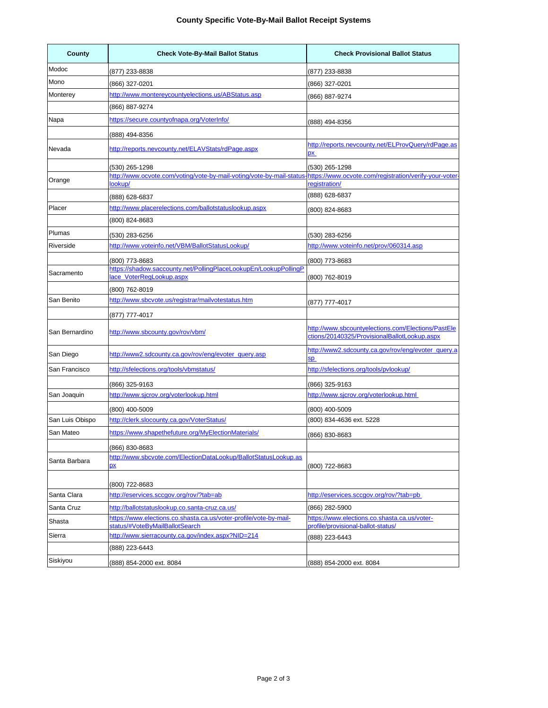| County          | <b>Check Vote-By-Mail Ballot Status</b>                                                      | <b>Check Provisional Ballot Status</b>                                                             |
|-----------------|----------------------------------------------------------------------------------------------|----------------------------------------------------------------------------------------------------|
| Modoc           | (877) 233-8838                                                                               | (877) 233-8838                                                                                     |
| Mono            | (866) 327-0201                                                                               | (866) 327-0201                                                                                     |
| Monterey        | http://www.montereycountyelections.us/ABStatus.asp                                           | (866) 887-9274                                                                                     |
|                 | (866) 887-9274                                                                               |                                                                                                    |
| Napa            | https://secure.countyofnapa.org/VoterInfo/                                                   | (888) 494-8356                                                                                     |
|                 | (888) 494-8356                                                                               |                                                                                                    |
| Nevada          | http://reports.nevcounty.net/ELAVStats/rdPage.aspx                                           | http://reports.nevcounty.net/ELProvQuery/rdPage.as<br><u>px</u>                                    |
|                 | (530) 265-1298                                                                               | (530) 265-1298                                                                                     |
| Orange          | http://www.ocvote.com/voting/vote-by-mail-voting/vote-by-mail-status-<br>lookup/             | https://www.ocvote.com/registration/verify-your-voter-<br>registration/                            |
|                 |                                                                                              | (888) 628-6837                                                                                     |
| Placer          | (888) 628-6837<br>http://www.placerelections.com/ballotstatuslookup.aspx                     |                                                                                                    |
|                 | (800) 824-8683                                                                               | (800) 824-8683                                                                                     |
| Plumas          | (530) 283-6256                                                                               | (530) 283-6256                                                                                     |
| Riverside       | http://www.voteinfo.net/VBM/BallotStatusLookup/                                              | http://www.voteinfo.net/prov/060314.asp                                                            |
|                 | (800) 773-8683                                                                               | (800) 773-8683                                                                                     |
| Sacramento      | https://shadow.saccounty.net/PollingPlaceLookupEn/LookupPollingP<br>lace_VoterRegLookup.aspx |                                                                                                    |
|                 |                                                                                              | (800) 762-8019                                                                                     |
| San Benito      | (800) 762-8019<br>http://www.sbcvote.us/registrar/mailvotestatus.htm                         |                                                                                                    |
|                 | (877) 777-4017                                                                               | (877) 777-4017                                                                                     |
| San Bernardino  | http://www.sbcounty.gov/rov/vbm/                                                             | http://www.sbcountyelections.com/Elections/PastEle<br>ctions/20140325/ProvisionalBallotLookup.aspx |
| San Diego       | http://www2.sdcounty.ca.gov/rov/eng/evoter_query.asp                                         | http://www2.sdcounty.ca.gov/rov/eng/evoter_query.a<br><b>Sp</b>                                    |
| San Francisco   | http://sfelections.org/tools/vbmstatus/                                                      | http://sfelections.org/tools/pylookup/                                                             |
|                 | (866) 325-9163                                                                               | (866) 325-9163                                                                                     |
| San Joaquin     | http://www.sjcrov.org/voterlookup.html                                                       | http://www.sjcrov.org/voterlookup.html                                                             |
|                 | (800) 400-5009                                                                               | (800) 400-5009                                                                                     |
| San Luis Obispo | http://clerk.slocounty.ca.gov/VoterStatus/                                                   | (800) 834-4636 ext. 5228                                                                           |
| San Mateo       | https://www.shapethefuture.org/MyElectionMaterials/                                          | (866) 830-8683                                                                                     |
|                 | (866) 830-8683                                                                               |                                                                                                    |
| Santa Barbara   | http://www.sbcvote.com/ElectionDataLookup/BallotStatusLookup.as<br><u>px</u>                 | (800) 722-8683                                                                                     |
|                 | (800) 722-8683                                                                               |                                                                                                    |
| Santa Clara     | http://eservices.sccgov.org/rov/?tab=ab                                                      | http://eservices.sccgov.org/rov/?tab=pb                                                            |
| Santa Cruz      | http://ballotstatuslookup.co.santa-cruz.ca.us/                                               | (866) 282-5900                                                                                     |
| Shasta          | https://www.elections.co.shasta.ca.us/voter-profile/vote-by-mail-                            | https://www.elections.co.shasta.ca.us/voter-                                                       |
| Sierra          | status/#VoteByMailBallotSearch<br>http://www.sierracounty.ca.gov/index.aspx?NID=214          | profile/provisional-ballot-status/                                                                 |
|                 | (888) 223-6443                                                                               | (888) 223-6443                                                                                     |
| Siskiyou        | (888) 854-2000 ext. 8084                                                                     | (888) 854-2000 ext. 8084                                                                           |